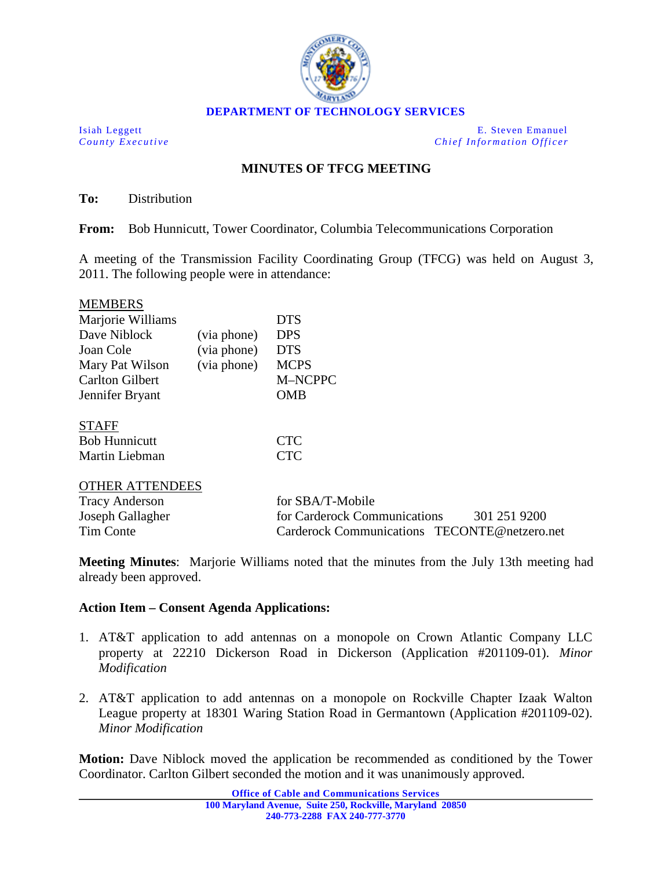

Isiah Leggett E. Steven Emanuel *County Executive Chief Information Officer*

## **MINUTES OF TFCG MEETING**

**To:** Distribution

**From:** Bob Hunnicutt, Tower Coordinator, Columbia Telecommunications Corporation

A meeting of the Transmission Facility Coordinating Group (TFCG) was held on August 3, 2011. The following people were in attendance:

| <b>MEMBERS</b>         |             |                              |              |
|------------------------|-------------|------------------------------|--------------|
| Marjorie Williams      |             | <b>DTS</b>                   |              |
| Dave Niblock           | (via phone) | <b>DPS</b>                   |              |
| Joan Cole              | (via phone) | <b>DTS</b>                   |              |
| Mary Pat Wilson        | (via phone) | <b>MCPS</b>                  |              |
| <b>Carlton Gilbert</b> |             | M-NCPPC                      |              |
| Jennifer Bryant        |             | <b>OMB</b>                   |              |
| <b>STAFF</b>           |             |                              |              |
| <b>Bob Hunnicutt</b>   |             | <b>CTC</b>                   |              |
| Martin Liebman         |             | <b>CTC</b>                   |              |
| <b>OTHER ATTENDEES</b> |             |                              |              |
| <b>Tracy Anderson</b>  |             | for SBA/T-Mobile             |              |
| Joseph Gallagher       |             | for Carderock Communications | 301 251 9200 |

**Meeting Minutes**: Marjorie Williams noted that the minutes from the July 13th meeting had already been approved.

Tim Conte Carderock Communications TECONTE@netzero.net

## **Action Item – Consent Agenda Applications:**

- 1. AT&T application to add antennas on a monopole on Crown Atlantic Company LLC property at 22210 Dickerson Road in Dickerson (Application #201109-01). *Minor Modification*
- 2. AT&T application to add antennas on a monopole on Rockville Chapter Izaak Walton League property at 18301 Waring Station Road in Germantown (Application #201109-02). *Minor Modification*

**Motion:** Dave Niblock moved the application be recommended as conditioned by the Tower Coordinator. Carlton Gilbert seconded the motion and it was unanimously approved.